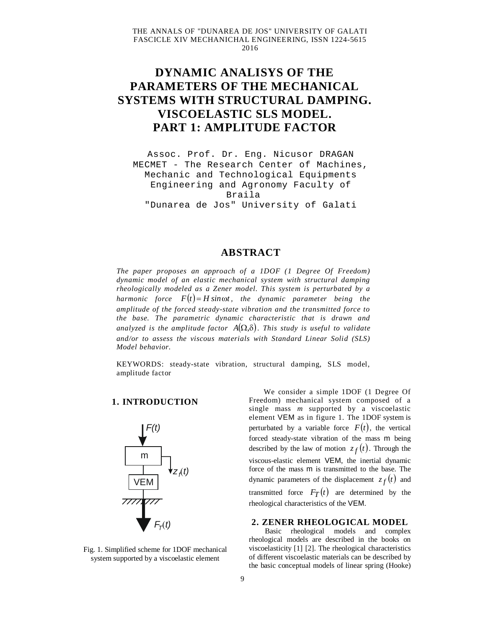# **DYNAMIC ANALISYS OF THE PARAMETERS OF THE MECHANICAL SYSTEMS WITH STRUCTURAL DAMPING. VISCOELASTIC SLS MODEL. PART 1: AMPLITUDE FACTOR**

Assoc. Prof. Dr. Eng. Nicusor DRAGAN MECMET - The Research Center of Machines, Mechanic and Technological Equipments Engineering and Agronomy Faculty of Braila "Dunarea de Jos" University of Galati

## **ABSTRACT**

*The paper proposes an approach of a 1DOF (1 Degree Of Freedom) dynamic model of an elastic mechanical system with structural damping rheologically modeled as a Zener model. This system is perturbated by a harmonic force*  $F(t) = H \sin \omega t$ , the dynamic parameter being the *amplitude of the forced steady-state vibration and the transmitted force to the base. The parametric dynamic characteristic that is drawn and analyzed is the amplitude factor*  $A(\Omega,\delta)$ *. This study is useful to validate and/or to assess the viscous materials with Standard Linear Solid (SLS) Model behavior.*

KEYWORDS: steady-state vibration, structural damping, SLS model, amplitude factor

#### **1. INTRODUCTION**



Fig. 1. Simplified scheme for 1DOF mechanical system supported by a viscoelastic element

We consider a simple 1DOF (1 Degree Of Freedom) mechanical system composed of a single mass *m* supported by a viscoelastic element VEM as in figure 1. The 1DOF system is perturbated by a variable force  $F(t)$ , the vertical forced steady-state vibration of the mass m being described by the law of motion  $z_f(t)$ . Through the viscous-elastic element VEM, the inertial dynamic force of the mass m is transmitted to the base. The dynamic parameters of the displacement  $z_f(t)$  and transmitted force  $F_T(t)$  are determined by the rheological characteristics of the VEM.

#### **2. ZENER RHEOLOGICAL MODEL**

Basic rheological models and complex rheological models are described in the books on viscoelasticity [1] [2]. The rheological characteristics of different viscoelastic materials can be described by the basic conceptual models of linear spring (Hooke)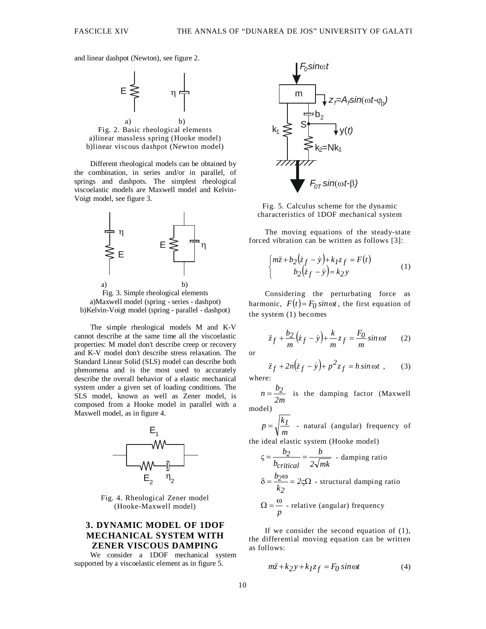and linear dashpot (Newton), see figure 2.



Fig. 2. Basic rheological elements a)linear massless spring (Hooke model) b)linear viscous dashpot (Newton model)

Different rheological models can be obtained by the combination, in series and/or in parallel, of springs and dashpots. The simplest rheological viscoelastic models are Maxwell model and Kelvin-Voigt model, see figure 3.



Fig. 3. Simple rheological elements a)Maxwell model (spring - series - dashpot) b)Kelvin-Voigt model (spring - parallel - dashpot)

The simple rheological models M and K-V cannot describe at the same time all the viscoelastic properties: M model don't describe creep or recovery and K-V model don't describe stress relaxation. The Standard Linear Solid (SLS) model can describe both phenomena and is the most used to accurately describe the overall behavior of a elastic mechanical system under a given set of loading conditions. The SLS model, known as well as Zener model, is composed from a Hooke model in parallel with a Maxwell model, as in figure 4.



Fig. 4. Rheological Zener model (Hooke-Maxwell model)

### **3. DYNAMIC MODEL OF 1DOF MECHANICAL SYSTEM WITH ZENER VISCOUS DAMPING**

We consider a 1DOF mechanical system supported by a viscoelastic element as in figure 5.



Fig. 5. Calculus scheme for the dynamic characteristics of 1DOF mechanical system

The moving equations of the steady-state forced vibration can be written as follows [3]:

$$
\begin{cases} m\ddot{z} + b_2(\dot{z}_f - \dot{y}) + k_1 z_f = F(t) \\ b_2(\dot{z}_f - \dot{y}) = k_2 y \end{cases}
$$
 (1)

Considering the perturbating force as harmonic,  $F(t) = F_0 \sin \omega t$ , the first equation of the system (1) becomes

$$
\ddot{z}_f + \frac{b_2}{m} (\dot{z}_f - \dot{y}) + \frac{k}{m} z_f = \frac{F_0}{m} \sin \omega t \qquad (2)
$$

or

 $W$ 

$$
\ddot{z}_f + 2n(\dot{z}_f - \dot{y}) + p^2 z_f = h \sin \omega t \tag{3}
$$
  
here:

*2m b n <sup>2</sup>* is the damping factor (Maxwell model)

$$
p = \sqrt{\frac{k_I}{m}}
$$
 - natural (angular) frequency of

the ideal elastic system (Hooke model)

$$
\zeta = \frac{b_2}{b_{critical}} = \frac{b}{2\sqrt{mk}} - \text{damping ratio}
$$

$$
\delta = \frac{b_2 \omega}{k_2} = 2\zeta \Omega - \text{structural damping ratio}
$$

$$
\Omega = \frac{\omega}{p} - \text{relative (angular) frequency}
$$

If we consider the second equation of  $(1)$ , the differential moving equation can be written as follows:

$$
m\ddot{z} + k_2 y + k_1 z_f = F_0 \sin \omega t \tag{4}
$$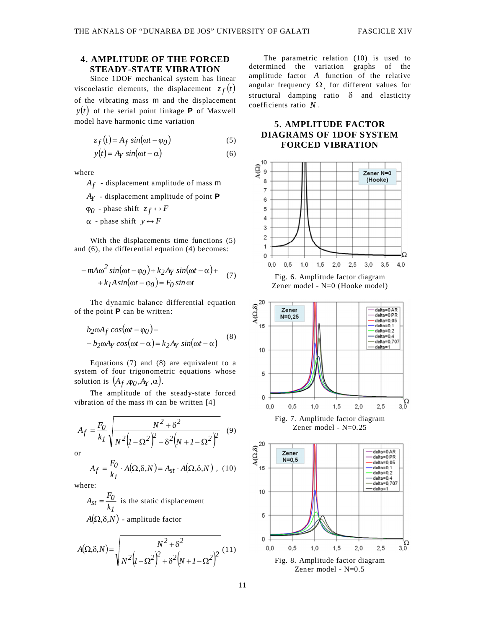## **4. AMPLITUDE OF THE FORCED STEADY-STATE VIBRATION**

Since 1DOF mechanical system has linear viscoelastic elements, the displacement  $z_f(t)$ of the vibrating mass m and the displacement  $y(t)$  of the serial point linkage **P** of Maxwell model have harmonic time variation

$$
z_f(t) = A_f \sin(\omega t - \varphi_0)
$$
 (5)

$$
y(t) = A_Y \sin(\omega t - \alpha)
$$
 (6)

where

*Af* - displacement amplitude of mass m

- *AY* displacement amplitude of point **P**
- $\varphi$ <sub>0</sub> phase shift  $z_f \leftrightarrow F$
- $\alpha$  phase shift  $y \leftrightarrow F$

 $\mathcal{L}$ 

With the displacements time functions (5) and (6), the differential equation (4) becomes:

$$
-mA\omega^2\sin(\omega t - \varphi_0) + k_2A_Y\sin(\omega t - \alpha) ++k_1Asin(\omega t - \varphi_0) = F_0\sin\omega t
$$
 (7)

The dynamic balance differential equation of the point **P** can be written:

$$
b_2 \omega A_f \cos(\omega t - \varphi_0) -- b_2 \omega A_Y \cos(\omega t - \alpha) = k_2 A_Y \sin(\omega t - \alpha)
$$
 (8)

Equations (7) and (8) are equivalent to a system of four trigonometric equations whose solution is  $(A_f, \varphi_0, A_Y, \alpha)$ .

The amplitude of the steady-state forced vibration of the mass m can be written [4]

$$
A_f = \frac{F_0}{k_I} \sqrt{\frac{N^2 + \delta^2}{N^2 (I - \Omega^2)^2 + \delta^2 (N + I - \Omega^2)^2}}
$$
(9)

or

$$
A_f = \frac{F_0}{k_I} \cdot A(\Omega, \delta, N) = A_{st} \cdot A(\Omega, \delta, N) , (10)
$$

where:

*1*  $st = \frac{F_0}{k_I}$  $A_{st} = \frac{F_0}{I}$  is the static displacement  $A(\Omega, \delta, N)$  - amplitude factor

$$
A(\Omega,\delta,N) = \sqrt{\frac{N^2 + \delta^2}{N^2\left(l - \Omega^2\right)^2 + \delta^2\left(N + l - \Omega^2\right)^2}} (11)
$$

The parametric relation (10) is used to determined the variation graphs of the amplitude factor *A* function of the relative angular frequency  $\Omega$ , for different values for structural damping ratio  $\delta$  and elasticity coefficients ratio *N* .

## **5. AMPLITUDE FACTOR DIAGRAMS OF 1DOF SYSTEM FORCED VIBRATION**



Zener model - N=0 (Hooke model)